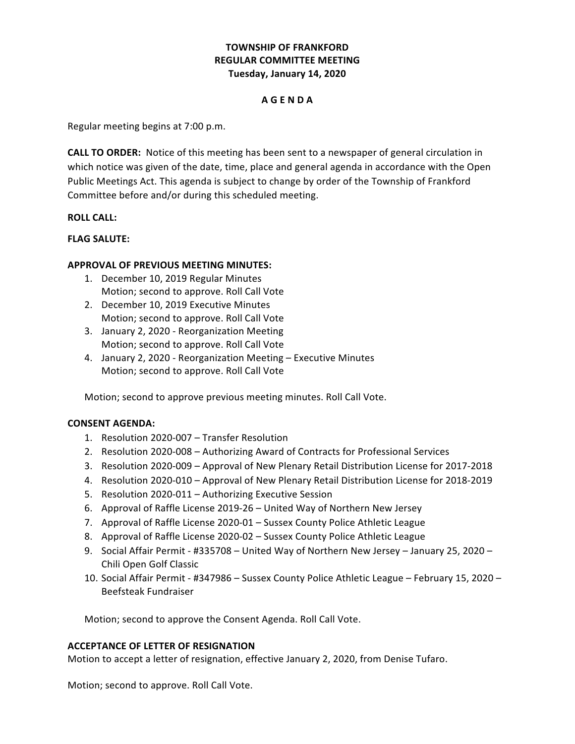# **TOWNSHIP OF FRANKFORD Tuesday, January 14, 2020 REGULAR COMMITTEE MEETING**

### **A G E N D A**

 Regular meeting begins at 7:00 p.m.

**CALL TO ORDER:** Notice of this meeting has been sent to a newspaper of general circulation in which notice was given of the date, time, place and general agenda in accordance with the Open Public Meetings Act. This agenda is subject to change by order of the Township of Frankford Committee before and/or during this scheduled meeting.

### **ROLL CALL:**

### **FLAG SALUTE:**

## **APPROVAL OF PREVIOUS MEETING MINUTES:**

- 1. December 10, 2019 Regular Minutes Motion; second to approve. Roll Call Vote
- 2. December 10, 2019 Executive Minutes Motion; second to approve. Roll Call Vote
- 3. January 2, 2020 Reorganization Meeting Motion; second to approve. Roll Call Vote
- 4. January 2, 2020 Reorganization Meeting Executive Minutes Motion; second to approve. Roll Call Vote

Motion; second to approve previous meeting minutes. Roll Call Vote.

#### **CONSENT AGENDA:**

- 1. Resolution 2020-007 Transfer Resolution
- 2. Resolution 2020-008 Authorizing Award of Contracts for Professional Services
- 3. Resolution 2020-009 Approval of New Plenary Retail Distribution License for 2017-2018
- 4. Resolution 2020-010 Approval of New Plenary Retail Distribution License for 2018-2019
- 5. Resolution 2020-011 Authorizing Executive Session
- 6. Approval of Raffle License 2019-26 United Way of Northern New Jersey
- 7. Approval of Raffle License 2020-01 Sussex County Police Athletic League
- 8. Approval of Raffle License 2020-02 Sussex County Police Athletic League
- 9. Social Affair Permit #335708 United Way of Northern New Jersey January 25, 2020 Chili Open Golf Classic
- 10. Social Affair Permit #347986 Sussex County Police Athletic League February 15, 2020 -Beefsteak Fundraiser

 Motion; second to approve the Consent Agenda. Roll Call Vote.

#### **ACCEPTANCE OF LETTER OF RESIGNATION**

Motion to accept a letter of resignation, effective January 2, 2020, from Denise Tufaro.

 Motion; second to approve. Roll Call Vote.